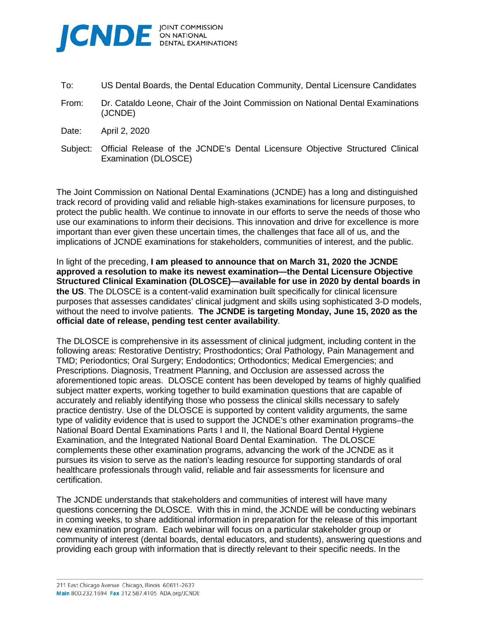

- To: US Dental Boards, the Dental Education Community, Dental Licensure Candidates
- From: Dr. Cataldo Leone, Chair of the Joint Commission on National Dental Examinations (JCNDE)
- Date: April 2, 2020
- Subject: Official Release of the JCNDE's Dental Licensure Objective Structured Clinical Examination (DLOSCE)

The Joint Commission on National Dental Examinations (JCNDE) has a long and distinguished track record of providing valid and reliable high-stakes examinations for licensure purposes, to protect the public health. We continue to innovate in our efforts to serve the needs of those who use our examinations to inform their decisions. This innovation and drive for excellence is more important than ever given these uncertain times, the challenges that face all of us, and the implications of JCNDE examinations for stakeholders, communities of interest, and the public.

In light of the preceding, **I am pleased to announce that on March 31, 2020 the JCNDE approved a resolution to make its newest examination—the Dental Licensure Objective Structured Clinical Examination (DLOSCE)—available for use in 2020 by dental boards in the US**. The DLOSCE is a content-valid examination built specifically for clinical licensure purposes that assesses candidates' clinical judgment and skills using sophisticated 3-D models, without the need to involve patients. **The JCNDE is targeting Monday, June 15, 2020 as the official date of release, pending test center availability**.

The DLOSCE is comprehensive in its assessment of clinical judgment, including content in the following areas: Restorative Dentistry; Prosthodontics; Oral Pathology, Pain Management and TMD; Periodontics; Oral Surgery; Endodontics; Orthodontics; Medical Emergencies; and Prescriptions. Diagnosis, Treatment Planning, and Occlusion are assessed across the aforementioned topic areas. DLOSCE content has been developed by teams of highly qualified subject matter experts, working together to build examination questions that are capable of accurately and reliably identifying those who possess the clinical skills necessary to safely practice dentistry. Use of the DLOSCE is supported by content validity arguments, the same type of validity evidence that is used to support the JCNDE's other examination programs–the National Board Dental Examinations Parts I and II, the National Board Dental Hygiene Examination, and the Integrated National Board Dental Examination. The DLOSCE complements these other examination programs, advancing the work of the JCNDE as it pursues its vision to serve as the nation's leading resource for supporting standards of oral healthcare professionals through valid, reliable and fair assessments for licensure and certification.

The JCNDE understands that stakeholders and communities of interest will have many questions concerning the DLOSCE. With this in mind, the JCNDE will be conducting webinars in coming weeks, to share additional information in preparation for the release of this important new examination program. Each webinar will focus on a particular stakeholder group or community of interest (dental boards, dental educators, and students), answering questions and providing each group with information that is directly relevant to their specific needs. In the